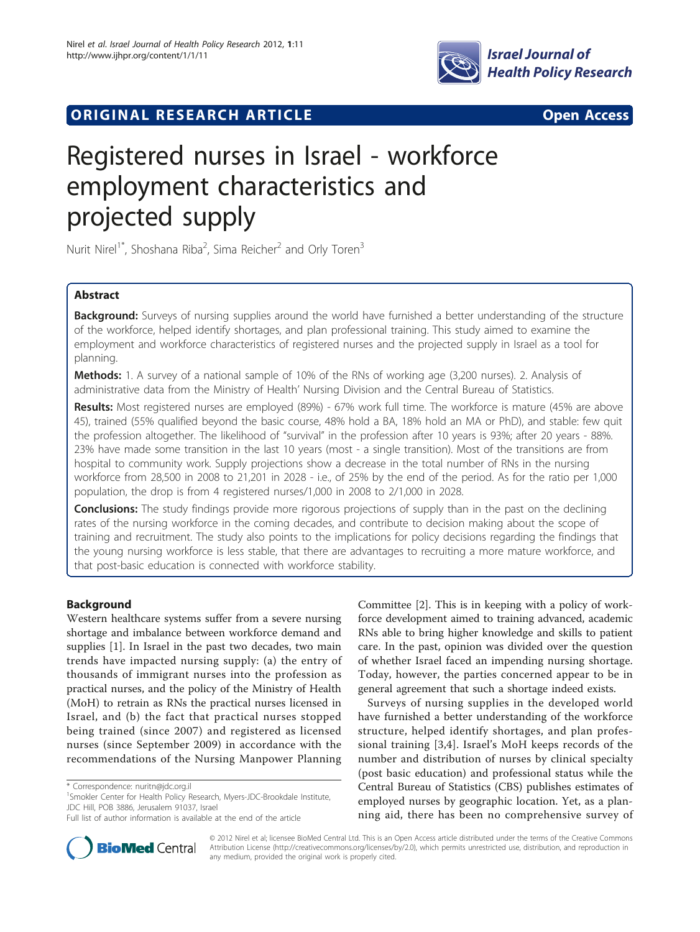

## **ORIGINAL RESEARCH ARTICLE CONSUMING ACCESS**



# Registered nurses in Israel - workforce employment characteristics and projected supply

Nurit Nirel<sup>1\*</sup>, Shoshana Riba<sup>2</sup>, Sima Reicher<sup>2</sup> and Orly Toren<sup>3</sup>

## Abstract

**Background:** Surveys of nursing supplies around the world have furnished a better understanding of the structure of the workforce, helped identify shortages, and plan professional training. This study aimed to examine the employment and workforce characteristics of registered nurses and the projected supply in Israel as a tool for planning.

Methods: 1. A survey of a national sample of 10% of the RNs of working age (3,200 nurses). 2. Analysis of administrative data from the Ministry of Health' Nursing Division and the Central Bureau of Statistics.

Results: Most registered nurses are employed (89%) - 67% work full time. The workforce is mature (45% are above 45), trained (55% qualified beyond the basic course, 48% hold a BA, 18% hold an MA or PhD), and stable: few quit the profession altogether. The likelihood of "survival" in the profession after 10 years is 93%; after 20 years - 88%. 23% have made some transition in the last 10 years (most - a single transition). Most of the transitions are from hospital to community work. Supply projections show a decrease in the total number of RNs in the nursing workforce from 28,500 in 2008 to 21,201 in 2028 - i.e., of 25% by the end of the period. As for the ratio per 1,000 population, the drop is from 4 registered nurses/1,000 in 2008 to 2/1,000 in 2028.

**Conclusions:** The study findings provide more rigorous projections of supply than in the past on the declining rates of the nursing workforce in the coming decades, and contribute to decision making about the scope of training and recruitment. The study also points to the implications for policy decisions regarding the findings that the young nursing workforce is less stable, that there are advantages to recruiting a more mature workforce, and that post-basic education is connected with workforce stability.

## Background

Western healthcare systems suffer from a severe nursing shortage and imbalance between workforce demand and supplies [\[1](#page-7-0)]. In Israel in the past two decades, two main trends have impacted nursing supply: (a) the entry of thousands of immigrant nurses into the profession as practical nurses, and the policy of the Ministry of Health (MoH) to retrain as RNs the practical nurses licensed in Israel, and (b) the fact that practical nurses stopped being trained (since 2007) and registered as licensed nurses (since September 2009) in accordance with the recommendations of the Nursing Manpower Planning

<sup>1</sup>Smokler Center for Health Policy Research, Myers-JDC-Brookdale Institute, JDC Hill, POB 3886, Jerusalem 91037, Israel

Committee [[2\]](#page-7-0). This is in keeping with a policy of workforce development aimed to training advanced, academic RNs able to bring higher knowledge and skills to patient care. In the past, opinion was divided over the question of whether Israel faced an impending nursing shortage. Today, however, the parties concerned appear to be in general agreement that such a shortage indeed exists.

Surveys of nursing supplies in the developed world have furnished a better understanding of the workforce structure, helped identify shortages, and plan professional training [[3,4](#page-7-0)]. Israel's MoH keeps records of the number and distribution of nurses by clinical specialty (post basic education) and professional status while the Central Bureau of Statistics (CBS) publishes estimates of employed nurses by geographic location. Yet, as a planning aid, there has been no comprehensive survey of



© 2012 Nirel et al; licensee BioMed Central Ltd. This is an Open Access article distributed under the terms of the Creative Commons Attribution License [\(http://creativecommons.org/licenses/by/2.0](http://creativecommons.org/licenses/by/2.0)), which permits unrestricted use, distribution, and reproduction in any medium, provided the original work is properly cited.

<sup>\*</sup> Correspondence: [nuritn@jdc.org.il](mailto:nuritn@jdc.org.il)

Full list of author information is available at the end of the article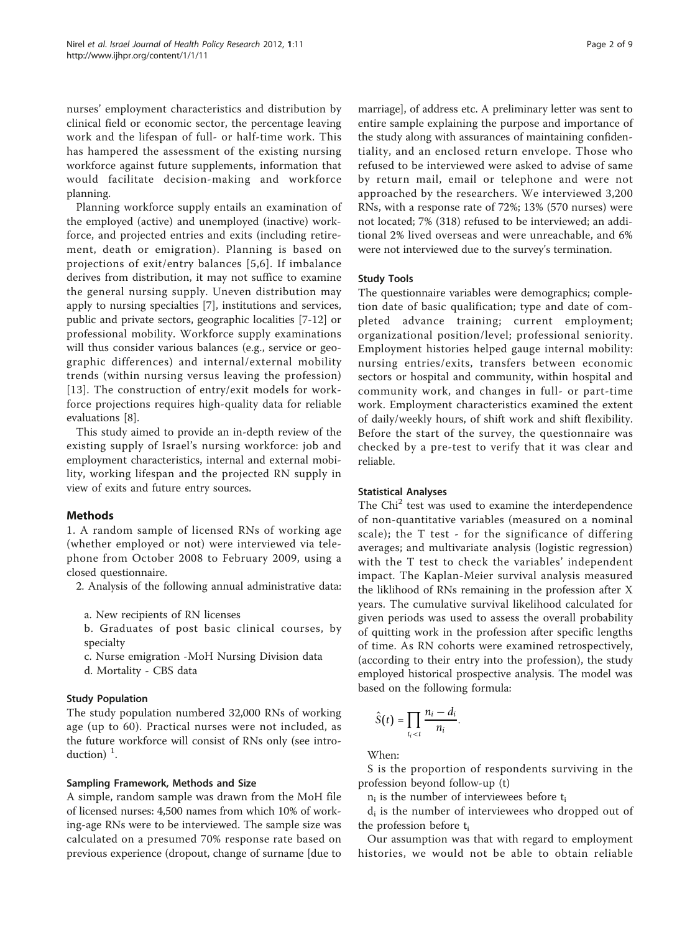nurses' employment characteristics and distribution by clinical field or economic sector, the percentage leaving work and the lifespan of full- or half-time work. This has hampered the assessment of the existing nursing workforce against future supplements, information that would facilitate decision-making and workforce planning.

Planning workforce supply entails an examination of the employed (active) and unemployed (inactive) workforce, and projected entries and exits (including retirement, death or emigration). Planning is based on projections of exit/entry balances [[5](#page-7-0),[6](#page-7-0)]. If imbalance derives from distribution, it may not suffice to examine the general nursing supply. Uneven distribution may apply to nursing specialties [\[7](#page-7-0)], institutions and services, public and private sectors, geographic localities [\[7](#page-7-0)-[12](#page-8-0)] or professional mobility. Workforce supply examinations will thus consider various balances (e.g., service or geographic differences) and internal/external mobility trends (within nursing versus leaving the profession) [[13](#page-8-0)]. The construction of entry/exit models for workforce projections requires high-quality data for reliable evaluations [\[8](#page-7-0)].

This study aimed to provide an in-depth review of the existing supply of Israel's nursing workforce: job and employment characteristics, internal and external mobility, working lifespan and the projected RN supply in view of exits and future entry sources.

## Methods

1. A random sample of licensed RNs of working age (whether employed or not) were interviewed via telephone from October 2008 to February 2009, using a closed questionnaire.

2. Analysis of the following annual administrative data:

a. New recipients of RN licenses

b. Graduates of post basic clinical courses, by specialty

- c. Nurse emigration -MoH Nursing Division data
- d. Mortality CBS data

## Study Population

The study population numbered 32,000 RNs of working age (up to 60). Practical nurses were not included, as the future workforce will consist of RNs only (see introduction) $1$ .

#### Sampling Framework, Methods and Size

A simple, random sample was drawn from the MoH file of licensed nurses: 4,500 names from which 10% of working-age RNs were to be interviewed. The sample size was calculated on a presumed 70% response rate based on previous experience (dropout, change of surname [due to marriage], of address etc. A preliminary letter was sent to entire sample explaining the purpose and importance of the study along with assurances of maintaining confidentiality, and an enclosed return envelope. Those who refused to be interviewed were asked to advise of same by return mail, email or telephone and were not approached by the researchers. We interviewed 3,200 RNs, with a response rate of 72%; 13% (570 nurses) were not located; 7% (318) refused to be interviewed; an additional 2% lived overseas and were unreachable, and 6% were not interviewed due to the survey's termination.

#### Study Tools

The questionnaire variables were demographics; completion date of basic qualification; type and date of completed advance training; current employment; organizational position/level; professional seniority. Employment histories helped gauge internal mobility: nursing entries/exits, transfers between economic sectors or hospital and community, within hospital and community work, and changes in full- or part-time work. Employment characteristics examined the extent of daily/weekly hours, of shift work and shift flexibility. Before the start of the survey, the questionnaire was checked by a pre-test to verify that it was clear and reliable.

## Statistical Analyses

The Chi<sup>2</sup> test was used to examine the interdependence of non-quantitative variables (measured on a nominal scale); the T test - for the significance of differing averages; and multivariate analysis (logistic regression) with the T test to check the variables' independent impact. The Kaplan-Meier survival analysis measured the liklihood of RNs remaining in the profession after X years. The cumulative survival likelihood calculated for given periods was used to assess the overall probability of quitting work in the profession after specific lengths of time. As RN cohorts were examined retrospectively, (according to their entry into the profession), the study employed historical prospective analysis. The model was based on the following formula:

$$
\hat{S}(t)=\prod_{i_i
$$

When:

S is the proportion of respondents surviving in the profession beyond follow-up (t)

 $n_i$  is the number of interviewees before  $t_i$ 

 $d_i$  is the number of interviewees who dropped out of the profession before  $t_i$ 

Our assumption was that with regard to employment histories, we would not be able to obtain reliable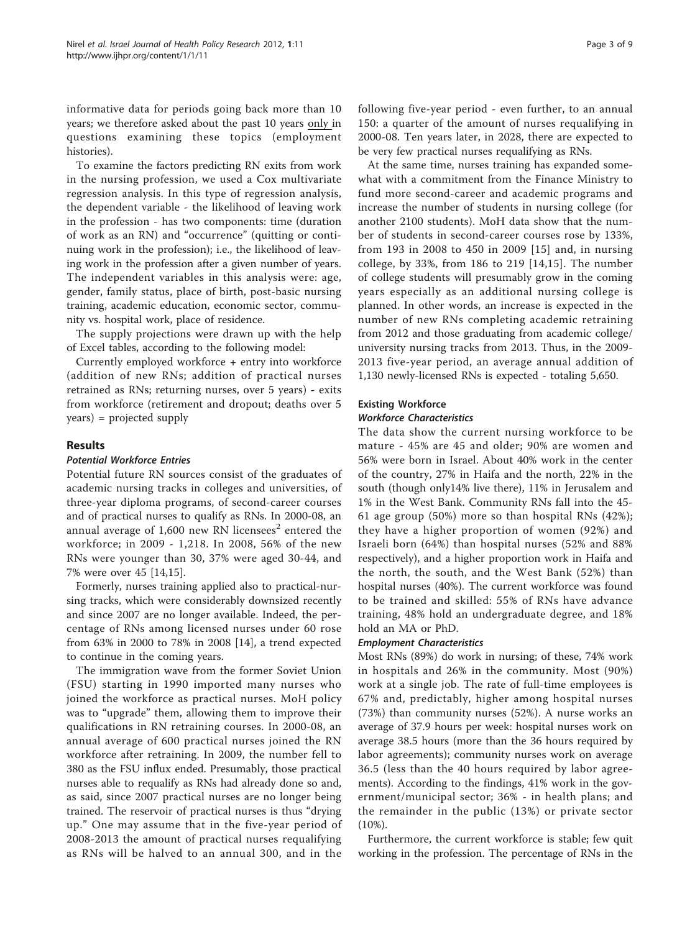informative data for periods going back more than 10 years; we therefore asked about the past 10 years only in questions examining these topics (employment histories).

To examine the factors predicting RN exits from work in the nursing profession, we used a Cox multivariate regression analysis. In this type of regression analysis, the dependent variable - the likelihood of leaving work in the profession - has two components: time (duration of work as an RN) and "occurrence" (quitting or continuing work in the profession); i.e., the likelihood of leaving work in the profession after a given number of years. The independent variables in this analysis were: age, gender, family status, place of birth, post-basic nursing training, academic education, economic sector, community vs. hospital work, place of residence.

The supply projections were drawn up with the help of Excel tables, according to the following model:

Currently employed workforce + entry into workforce (addition of new RNs; addition of practical nurses retrained as RNs; returning nurses, over 5 years) - exits from workforce (retirement and dropout; deaths over 5 years) = projected supply

#### Results

#### Potential Workforce Entries

Potential future RN sources consist of the graduates of academic nursing tracks in colleges and universities, of three-year diploma programs, of second-career courses and of practical nurses to qualify as RNs. In 2000-08, an annual average of  $1,600$  new RN licensees<sup>2</sup> entered the workforce; in 2009 - 1,218. In 2008, 56% of the new RNs were younger than 30, 37% were aged 30-44, and 7% were over 45 [\[14,15\]](#page-8-0).

Formerly, nurses training applied also to practical-nursing tracks, which were considerably downsized recently and since 2007 are no longer available. Indeed, the percentage of RNs among licensed nurses under 60 rose from 63% in 2000 to 78% in 2008 [\[14\]](#page-8-0), a trend expected to continue in the coming years.

The immigration wave from the former Soviet Union (FSU) starting in 1990 imported many nurses who joined the workforce as practical nurses. MoH policy was to "upgrade" them, allowing them to improve their qualifications in RN retraining courses. In 2000-08, an annual average of 600 practical nurses joined the RN workforce after retraining. In 2009, the number fell to 380 as the FSU influx ended. Presumably, those practical nurses able to requalify as RNs had already done so and, as said, since 2007 practical nurses are no longer being trained. The reservoir of practical nurses is thus "drying up." One may assume that in the five-year period of 2008-2013 the amount of practical nurses requalifying as RNs will be halved to an annual 300, and in the following five-year period - even further, to an annual 150: a quarter of the amount of nurses requalifying in 2000-08. Ten years later, in 2028, there are expected to be very few practical nurses requalifying as RNs.

At the same time, nurses training has expanded somewhat with a commitment from the Finance Ministry to fund more second-career and academic programs and increase the number of students in nursing college (for another 2100 students). MoH data show that the number of students in second-career courses rose by 133%, from 193 in 2008 to 450 in 2009 [[15\]](#page-8-0) and, in nursing college, by 33%, from 186 to 219 [\[14,15](#page-8-0)]. The number of college students will presumably grow in the coming years especially as an additional nursing college is planned. In other words, an increase is expected in the number of new RNs completing academic retraining from 2012 and those graduating from academic college/ university nursing tracks from 2013. Thus, in the 2009- 2013 five-year period, an average annual addition of 1,130 newly-licensed RNs is expected - totaling 5,650.

### Existing Workforce

#### Workforce Characteristics

The data show the current nursing workforce to be mature - 45% are 45 and older; 90% are women and 56% were born in Israel. About 40% work in the center of the country, 27% in Haifa and the north, 22% in the south (though only14% live there), 11% in Jerusalem and 1% in the West Bank. Community RNs fall into the 45- 61 age group (50%) more so than hospital RNs (42%); they have a higher proportion of women (92%) and Israeli born (64%) than hospital nurses (52% and 88% respectively), and a higher proportion work in Haifa and the north, the south, and the West Bank (52%) than hospital nurses (40%). The current workforce was found to be trained and skilled: 55% of RNs have advance training, 48% hold an undergraduate degree, and 18% hold an MA or PhD.

#### Employment Characteristics

Most RNs (89%) do work in nursing; of these, 74% work in hospitals and 26% in the community. Most (90%) work at a single job. The rate of full-time employees is 67% and, predictably, higher among hospital nurses (73%) than community nurses (52%). A nurse works an average of 37.9 hours per week: hospital nurses work on average 38.5 hours (more than the 36 hours required by labor agreements); community nurses work on average 36.5 (less than the 40 hours required by labor agreements). According to the findings, 41% work in the government/municipal sector; 36% - in health plans; and the remainder in the public (13%) or private sector  $(10\%).$ 

Furthermore, the current workforce is stable; few quit working in the profession. The percentage of RNs in the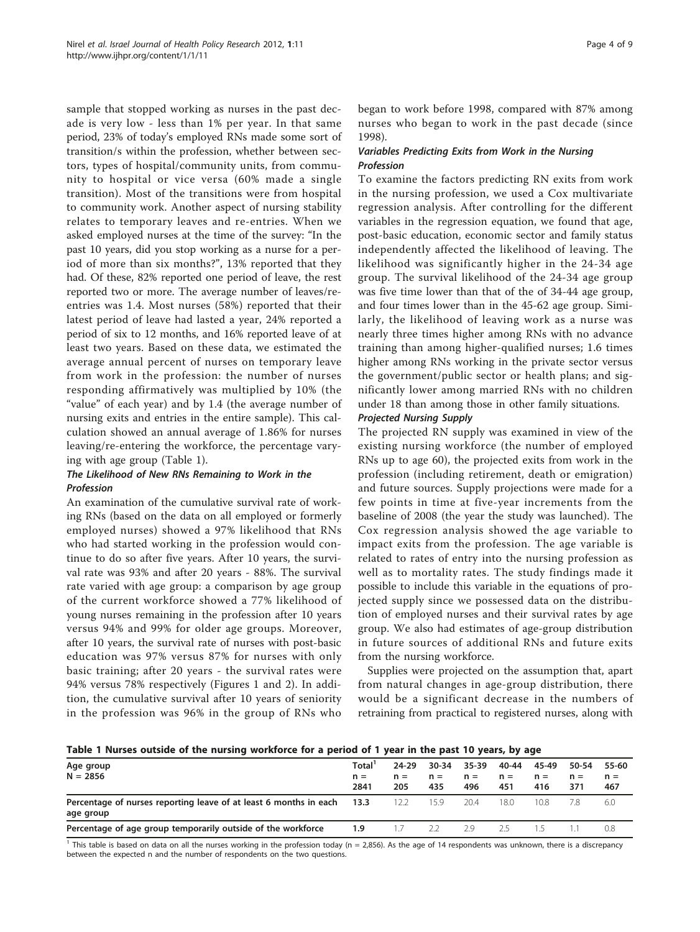sample that stopped working as nurses in the past decade is very low - less than 1% per year. In that same period, 23% of today's employed RNs made some sort of transition/s within the profession, whether between sectors, types of hospital/community units, from community to hospital or vice versa (60% made a single transition). Most of the transitions were from hospital to community work. Another aspect of nursing stability relates to temporary leaves and re-entries. When we asked employed nurses at the time of the survey: "In the past 10 years, did you stop working as a nurse for a period of more than six months?", 13% reported that they had. Of these, 82% reported one period of leave, the rest reported two or more. The average number of leaves/reentries was 1.4. Most nurses (58%) reported that their latest period of leave had lasted a year, 24% reported a period of six to 12 months, and 16% reported leave of at least two years. Based on these data, we estimated the average annual percent of nurses on temporary leave from work in the profession: the number of nurses responding affirmatively was multiplied by 10% (the "value" of each year) and by 1.4 (the average number of nursing exits and entries in the entire sample). This calculation showed an annual average of 1.86% for nurses leaving/re-entering the workforce, the percentage varying with age group (Table 1).

## The Likelihood of New RNs Remaining to Work in the Profession

An examination of the cumulative survival rate of working RNs (based on the data on all employed or formerly employed nurses) showed a 97% likelihood that RNs who had started working in the profession would continue to do so after five years. After 10 years, the survival rate was 93% and after 20 years - 88%. The survival rate varied with age group: a comparison by age group of the current workforce showed a 77% likelihood of young nurses remaining in the profession after 10 years versus 94% and 99% for older age groups. Moreover, after 10 years, the survival rate of nurses with post-basic education was 97% versus 87% for nurses with only basic training; after 20 years - the survival rates were 94% versus 78% respectively (Figures [1](#page-4-0) and [2\)](#page-4-0). In addition, the cumulative survival after 10 years of seniority in the profession was 96% in the group of RNs who

began to work before 1998, compared with 87% among nurses who began to work in the past decade (since 1998).

## Variables Predicting Exits from Work in the Nursing Profession

To examine the factors predicting RN exits from work in the nursing profession, we used a Cox multivariate regression analysis. After controlling for the different variables in the regression equation, we found that age, post-basic education, economic sector and family status independently affected the likelihood of leaving. The likelihood was significantly higher in the 24-34 age group. The survival likelihood of the 24-34 age group was five time lower than that of the of 34-44 age group, and four times lower than in the 45-62 age group. Similarly, the likelihood of leaving work as a nurse was nearly three times higher among RNs with no advance training than among higher-qualified nurses; 1.6 times higher among RNs working in the private sector versus the government/public sector or health plans; and significantly lower among married RNs with no children under 18 than among those in other family situations.

## Projected Nursing Supply

The projected RN supply was examined in view of the existing nursing workforce (the number of employed RNs up to age 60), the projected exits from work in the profession (including retirement, death or emigration) and future sources. Supply projections were made for a few points in time at five-year increments from the baseline of 2008 (the year the study was launched). The Cox regression analysis showed the age variable to impact exits from the profession. The age variable is related to rates of entry into the nursing profession as well as to mortality rates. The study findings made it possible to include this variable in the equations of projected supply since we possessed data on the distribution of employed nurses and their survival rates by age group. We also had estimates of age-group distribution in future sources of additional RNs and future exits from the nursing workforce.

Supplies were projected on the assumption that, apart from natural changes in age-group distribution, there would be a significant decrease in the numbers of retraining from practical to registered nurses, along with

Table 1 Nurses outside of the nursing workforce for a period of 1 year in the past 10 years, by age

| Age group<br>$N = 2856$                                                        | Total <sup>1</sup><br>$n =$<br>2841 | 24-29<br>$n =$<br>205 | 30-34<br>$n =$<br>435 | 35-39<br>$n =$<br>496 | 40-44<br>$n =$<br>451 | 45-49<br>$n =$<br>416 | 50-54 55-60<br>$n =$<br>371 | $n =$<br>467 |
|--------------------------------------------------------------------------------|-------------------------------------|-----------------------|-----------------------|-----------------------|-----------------------|-----------------------|-----------------------------|--------------|
| Percentage of nurses reporting leave of at least 6 months in each<br>age group | 13.3                                | 12.2                  | 159                   | 20.4                  | 18.0                  | 108                   |                             | 6.0          |
| Percentage of age group temporarily outside of the workforce                   | 1.9                                 | $\frac{17}{2}$        | フフ                    | 79                    | つち                    | 15                    |                             | 0.8          |

<sup>1</sup> This table is based on data on all the nurses working in the profession today (n = 2,856). As the age of 14 respondents was unknown, there is a discrepancy between the expected n and the number of respondents on the two questions.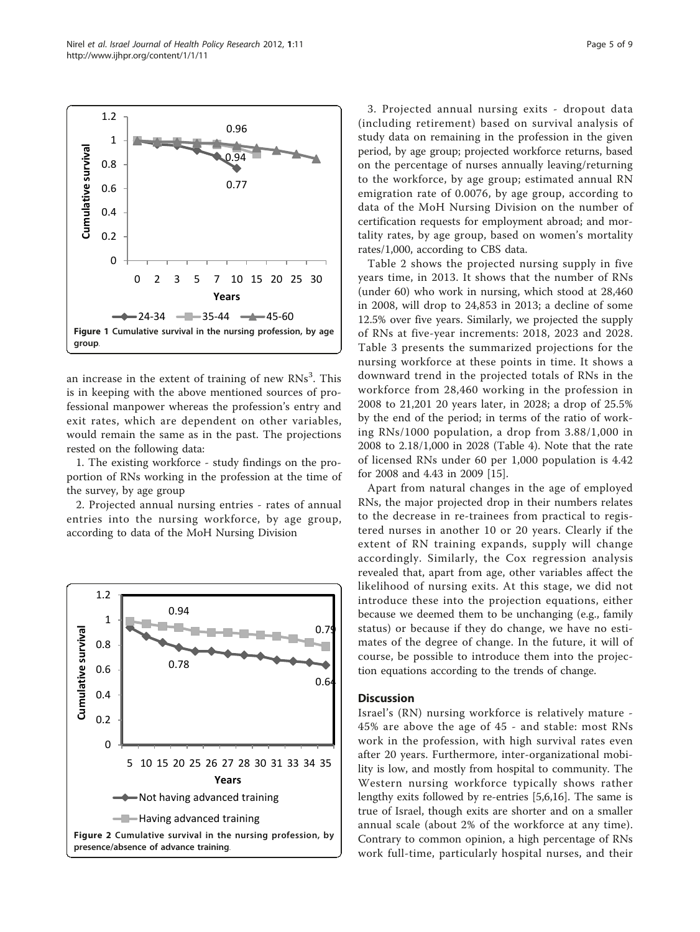

<span id="page-4-0"></span>

an increase in the extent of training of new  $\text{RNs}^3$ . This is in keeping with the above mentioned sources of professional manpower whereas the profession's entry and exit rates, which are dependent on other variables, would remain the same as in the past. The projections rested on the following data:

1. The existing workforce - study findings on the proportion of RNs working in the profession at the time of the survey, by age group

2. Projected annual nursing entries - rates of annual entries into the nursing workforce, by age group, according to data of the MoH Nursing Division



3. Projected annual nursing exits - dropout data (including retirement) based on survival analysis of study data on remaining in the profession in the given period, by age group; projected workforce returns, based on the percentage of nurses annually leaving/returning to the workforce, by age group; estimated annual RN emigration rate of 0.0076, by age group, according to data of the MoH Nursing Division on the number of certification requests for employment abroad; and mortality rates, by age group, based on women's mortality rates/1,000, according to CBS data.

Table [2](#page-5-0) shows the projected nursing supply in five years time, in 2013. It shows that the number of RNs (under 60) who work in nursing, which stood at 28,460 in 2008, will drop to 24,853 in 2013; a decline of some 12.5% over five years. Similarly, we projected the supply of RNs at five-year increments: 2018, 2023 and 2028. Table [3](#page-5-0) presents the summarized projections for the nursing workforce at these points in time. It shows a downward trend in the projected totals of RNs in the workforce from 28,460 working in the profession in 2008 to 21,201 20 years later, in 2028; a drop of 25.5% by the end of the period; in terms of the ratio of working RNs/1000 population, a drop from 3.88/1,000 in 2008 to 2.18/1,000 in 2028 (Table [4\)](#page-5-0). Note that the rate of licensed RNs under 60 per 1,000 population is 4.42 for 2008 and 4.43 in 2009 [[15](#page-8-0)].

Apart from natural changes in the age of employed RNs, the major projected drop in their numbers relates to the decrease in re-trainees from practical to registered nurses in another 10 or 20 years. Clearly if the extent of RN training expands, supply will change accordingly. Similarly, the Cox regression analysis revealed that, apart from age, other variables affect the likelihood of nursing exits. At this stage, we did not introduce these into the projection equations, either because we deemed them to be unchanging (e.g., family status) or because if they do change, we have no estimates of the degree of change. In the future, it will of course, be possible to introduce them into the projection equations according to the trends of change.

## **Discussion**

Israel's (RN) nursing workforce is relatively mature - 45% are above the age of 45 - and stable: most RNs work in the profession, with high survival rates even after 20 years. Furthermore, inter-organizational mobility is low, and mostly from hospital to community. The Western nursing workforce typically shows rather lengthy exits followed by re-entries [\[5,6](#page-7-0)[,16\]](#page-8-0). The same is true of Israel, though exits are shorter and on a smaller annual scale (about 2% of the workforce at any time). Contrary to common opinion, a high percentage of RNs work full-time, particularly hospital nurses, and their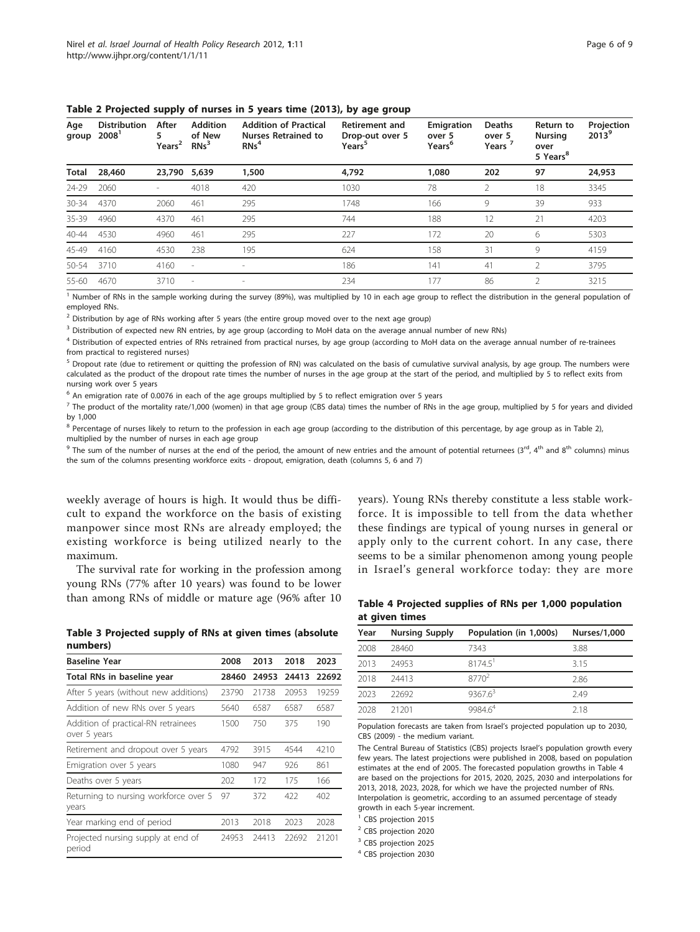| Age<br>group | <b>Distribution</b><br>2008 | After<br>5<br>Years <sup>2</sup> | <b>Addition</b><br>of New<br>$RNs^3$ | <b>Addition of Practical</b><br><b>Nurses Retrained to</b><br>$RNs^4$ | <b>Retirement and</b><br>Drop-out over 5<br>Years <sup>5</sup> | Emigration<br>over 5<br>Years <sup>6</sup> | <b>Deaths</b><br>over 5<br>Years <sup>7</sup> | Return to<br><b>Nursing</b><br>over<br>5 Years <sup>8</sup> | Projection<br>$2013^9$ |
|--------------|-----------------------------|----------------------------------|--------------------------------------|-----------------------------------------------------------------------|----------------------------------------------------------------|--------------------------------------------|-----------------------------------------------|-------------------------------------------------------------|------------------------|
| Total        | 28,460                      | 23,790                           | 5,639                                | 1,500                                                                 | 4,792                                                          | 1,080                                      | 202                                           | 97                                                          | 24,953                 |
| $24 - 29$    | 2060                        |                                  | 4018                                 | 420                                                                   | 1030                                                           | 78                                         |                                               | 18                                                          | 3345                   |
| $30 - 34$    | 4370                        | 2060                             | 461                                  | 295                                                                   | 1748                                                           | 166                                        | 9                                             | 39                                                          | 933                    |
| 35-39        | 4960                        | 4370                             | 461                                  | 295                                                                   | 744                                                            | 188                                        | 12                                            | 21                                                          | 4203                   |
| $40 - 44$    | 4530                        | 4960                             | 461                                  | 295                                                                   | 227                                                            | 172                                        | 20                                            | 6                                                           | 5303                   |
| 45-49        | 4160                        | 4530                             | 238                                  | 195                                                                   | 624                                                            | 158                                        | 31                                            | 9                                                           | 4159                   |
| 50-54        | 3710                        | 4160                             | $\sim$                               | $\sim$                                                                | 186                                                            | 141                                        | 41                                            | $\mathcal{P}$                                               | 3795                   |
| 55-60        | 4670                        | 3710                             | $\sim$                               | $\overline{\phantom{a}}$                                              | 234                                                            | 177                                        | 86                                            | 2                                                           | 3215                   |

<span id="page-5-0"></span>Table 2 Projected supply of nurses in 5 years time (2013), by age group

<sup>1</sup> Number of RNs in the sample working during the survey (89%), was multiplied by 10 in each age group to reflect the distribution in the general population of employed RNs.

<sup>2</sup> Distribution by age of RNs working after 5 years (the entire group moved over to the next age group)

<sup>3</sup> Distribution of expected new RN entries, by age group (according to MoH data on the average annual number of new RNs)

<sup>4</sup> Distribution of expected entries of RNs retrained from practical nurses, by age group (according to MoH data on the average annual number of re-trainees from practical to registered nurses)

 $5$  Dropout rate (due to retirement or quitting the profession of RN) was calculated on the basis of cumulative survival analysis, by age group. The numbers were calculated as the product of the dropout rate times the number of nurses in the age group at the start of the period, and multiplied by 5 to reflect exits from nursing work over 5 years

 $6$  An emigration rate of 0.0076 in each of the age groups multiplied by 5 to reflect emigration over 5 years

 $7$  The product of the mortality rate/1,000 (women) in that age group (CBS data) times the number of RNs in the age group, multiplied by 5 for years and divided by 1,000

<sup>8</sup> Percentage of nurses likely to return to the profession in each age group (according to the distribution of this percentage, by age group as in Table 2), multiplied by the number of nurses in each age group

 $9$  The sum of the number of nurses at the end of the period, the amount of new entries and the amount of potential returnees ( $3^{rd}$ ,  $4^{th}$  and  $8^{th}$  columns) minus the sum of the columns presenting workforce exits - dropout, emigration, death (columns 5, 6 and 7)

weekly average of hours is high. It would thus be difficult to expand the workforce on the basis of existing manpower since most RNs are already employed; the existing workforce is being utilized nearly to the maximum.

The survival rate for working in the profession among young RNs (77% after 10 years) was found to be lower than among RNs of middle or mature age (96% after 10

|          | Table 3 Projected supply of RNs at given times (absolute |  |  |  |  |
|----------|----------------------------------------------------------|--|--|--|--|
| numbers) |                                                          |  |  |  |  |

| <b>Baseline Year</b>                                | 2008  | 2013  | 2018  | 2023  |
|-----------------------------------------------------|-------|-------|-------|-------|
| Total RNs in baseline year                          | 28460 | 24953 | 24413 | 22692 |
| After 5 years (without new additions)               | 23790 | 21738 | 20953 | 19259 |
| Addition of new RNs over 5 years                    | 5640  | 6587  | 6587  | 6587  |
| Addition of practical-RN retrainees<br>over 5 years | 1500  | 750   | 375   | 190   |
| Retirement and dropout over 5 years                 | 4792  | 3915  | 4544  | 4210  |
| Emigration over 5 years                             | 1080  | 947   | 926   | 861   |
| Deaths over 5 years                                 | 202   | 172   | 175   | 166   |
| Returning to nursing workforce over 5<br>years      | 97    | 372   | 422   | 402   |
| Year marking end of period                          | 2013  | 2018  | 2023  | 2028  |
| Projected nursing supply at end of<br>period        | 24953 | 24413 | 22692 | 21201 |

years). Young RNs thereby constitute a less stable workforce. It is impossible to tell from the data whether these findings are typical of young nurses in general or apply only to the current cohort. In any case, there seems to be a similar phenomenon among young people in Israel's general workforce today: they are more

Table 4 Projected supplies of RNs per 1,000 population at given times

| Year | <b>Nursing Supply</b> | Population (in 1,000s) | Nurses/1,000 |
|------|-----------------------|------------------------|--------------|
| 2008 | 28460                 | 7343                   | 3.88         |
| 2013 | 24953                 | 81745                  | 315          |
| 2018 | 24413                 | $8770^2$               | 2.86         |
| 2023 | 22692                 | $93676^3$              | 249          |
| 2028 | 21201                 | 9984 $64$              | 218          |

Population forecasts are taken from Israel's projected population up to 2030, CBS (2009) - the medium variant.

The Central Bureau of Statistics (CBS) projects Israel's population growth every few years. The latest projections were published in 2008, based on population estimates at the end of 2005. The forecasted population growths in Table 4 are based on the projections for 2015, 2020, 2025, 2030 and interpolations for 2013, 2018, 2023, 2028, for which we have the projected number of RNs. Interpolation is geometric, according to an assumed percentage of steady growth in each 5-year increment.

<sup>1</sup> CBS projection 2015

<sup>2</sup> CBS projection 2020

<sup>3</sup> CBS projection 2025

<sup>4</sup> CBS projection 2030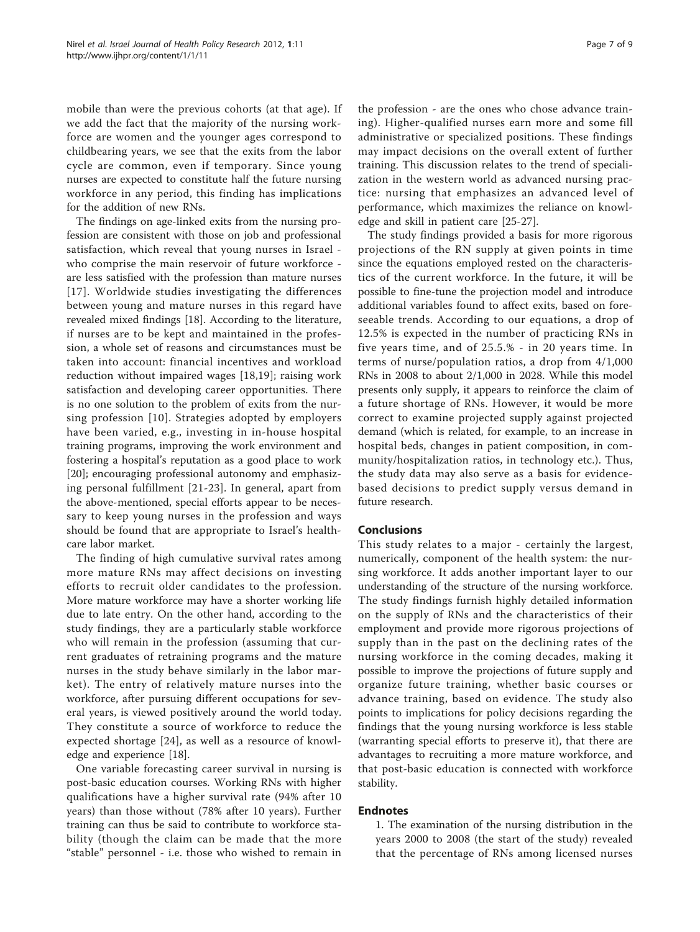mobile than were the previous cohorts (at that age). If we add the fact that the majority of the nursing workforce are women and the younger ages correspond to childbearing years, we see that the exits from the labor cycle are common, even if temporary. Since young nurses are expected to constitute half the future nursing workforce in any period, this finding has implications for the addition of new RNs.

The findings on age-linked exits from the nursing profession are consistent with those on job and professional satisfaction, which reveal that young nurses in Israel who comprise the main reservoir of future workforce are less satisfied with the profession than mature nurses [[17\]](#page-8-0). Worldwide studies investigating the differences between young and mature nurses in this regard have revealed mixed findings [\[18\]](#page-8-0). According to the literature, if nurses are to be kept and maintained in the profession, a whole set of reasons and circumstances must be taken into account: financial incentives and workload reduction without impaired wages [\[18](#page-8-0),[19\]](#page-8-0); raising work satisfaction and developing career opportunities. There is no one solution to the problem of exits from the nursing profession [\[10\]](#page-8-0). Strategies adopted by employers have been varied, e.g., investing in in-house hospital training programs, improving the work environment and fostering a hospital's reputation as a good place to work [[20\]](#page-8-0); encouraging professional autonomy and emphasizing personal fulfillment [\[21-23](#page-8-0)]. In general, apart from the above-mentioned, special efforts appear to be necessary to keep young nurses in the profession and ways should be found that are appropriate to Israel's healthcare labor market.

The finding of high cumulative survival rates among more mature RNs may affect decisions on investing efforts to recruit older candidates to the profession. More mature workforce may have a shorter working life due to late entry. On the other hand, according to the study findings, they are a particularly stable workforce who will remain in the profession (assuming that current graduates of retraining programs and the mature nurses in the study behave similarly in the labor market). The entry of relatively mature nurses into the workforce, after pursuing different occupations for several years, is viewed positively around the world today. They constitute a source of workforce to reduce the expected shortage [\[24\]](#page-8-0), as well as a resource of knowledge and experience [[18](#page-8-0)].

One variable forecasting career survival in nursing is post-basic education courses. Working RNs with higher qualifications have a higher survival rate (94% after 10 years) than those without (78% after 10 years). Further training can thus be said to contribute to workforce stability (though the claim can be made that the more "stable" personnel - i.e. those who wished to remain in

the profession - are the ones who chose advance training). Higher-qualified nurses earn more and some fill administrative or specialized positions. These findings may impact decisions on the overall extent of further training. This discussion relates to the trend of specialization in the western world as advanced nursing practice: nursing that emphasizes an advanced level of performance, which maximizes the reliance on knowledge and skill in patient care [\[25-27](#page-8-0)].

The study findings provided a basis for more rigorous projections of the RN supply at given points in time since the equations employed rested on the characteristics of the current workforce. In the future, it will be possible to fine-tune the projection model and introduce additional variables found to affect exits, based on foreseeable trends. According to our equations, a drop of 12.5% is expected in the number of practicing RNs in five years time, and of 25.5.% - in 20 years time. In terms of nurse/population ratios, a drop from 4/1,000 RNs in 2008 to about 2/1,000 in 2028. While this model presents only supply, it appears to reinforce the claim of a future shortage of RNs. However, it would be more correct to examine projected supply against projected demand (which is related, for example, to an increase in hospital beds, changes in patient composition, in community/hospitalization ratios, in technology etc.). Thus, the study data may also serve as a basis for evidencebased decisions to predict supply versus demand in future research.

## Conclusions

This study relates to a major - certainly the largest, numerically, component of the health system: the nursing workforce. It adds another important layer to our understanding of the structure of the nursing workforce. The study findings furnish highly detailed information on the supply of RNs and the characteristics of their employment and provide more rigorous projections of supply than in the past on the declining rates of the nursing workforce in the coming decades, making it possible to improve the projections of future supply and organize future training, whether basic courses or advance training, based on evidence. The study also points to implications for policy decisions regarding the findings that the young nursing workforce is less stable (warranting special efforts to preserve it), that there are advantages to recruiting a more mature workforce, and that post-basic education is connected with workforce stability.

#### Endnotes

1. The examination of the nursing distribution in the years 2000 to 2008 (the start of the study) revealed that the percentage of RNs among licensed nurses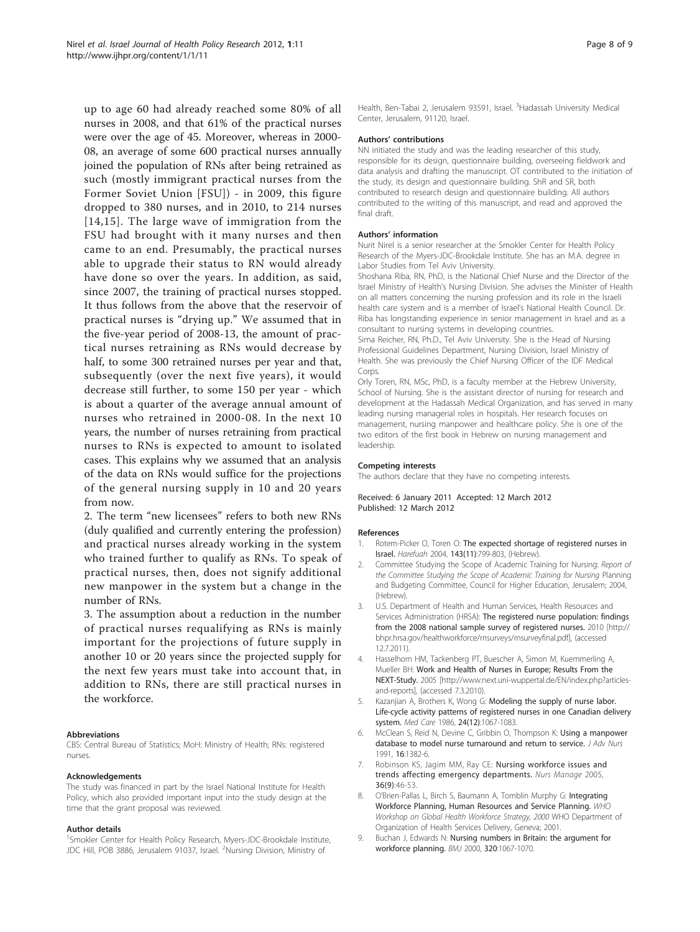<span id="page-7-0"></span>up to age 60 had already reached some 80% of all nurses in 2008, and that 61% of the practical nurses were over the age of 45. Moreover, whereas in 2000- 08, an average of some 600 practical nurses annually joined the population of RNs after being retrained as such (mostly immigrant practical nurses from the Former Soviet Union [FSU]) - in 2009, this figure dropped to 380 nurses, and in 2010, to 214 nurses [[14,15](#page-8-0)]. The large wave of immigration from the FSU had brought with it many nurses and then came to an end. Presumably, the practical nurses able to upgrade their status to RN would already have done so over the years. In addition, as said, since 2007, the training of practical nurses stopped. It thus follows from the above that the reservoir of practical nurses is "drying up." We assumed that in the five-year period of 2008-13, the amount of practical nurses retraining as RNs would decrease by half, to some 300 retrained nurses per year and that, subsequently (over the next five years), it would decrease still further, to some 150 per year - which is about a quarter of the average annual amount of nurses who retrained in 2000-08. In the next 10 years, the number of nurses retraining from practical nurses to RNs is expected to amount to isolated cases. This explains why we assumed that an analysis of the data on RNs would suffice for the projections of the general nursing supply in 10 and 20 years from now.

2. The term "new licensees" refers to both new RNs (duly qualified and currently entering the profession) and practical nurses already working in the system who trained further to qualify as RNs. To speak of practical nurses, then, does not signify additional new manpower in the system but a change in the number of RNs.

3. The assumption about a reduction in the number of practical nurses requalifying as RNs is mainly important for the projections of future supply in another 10 or 20 years since the projected supply for the next few years must take into account that, in addition to RNs, there are still practical nurses in the workforce.

#### Abbreviations

CBS: Central Bureau of Statistics; MoH: Ministry of Health; RNs: registered nurses.

#### Acknowledgements

The study was financed in part by the Israel National Institute for Health Policy, which also provided important input into the study design at the time that the grant proposal was reviewed.

#### Author details

<sup>1</sup>Smokler Center for Health Policy Research, Myers-JDC-Brookdale Institute, JDC Hill, POB 3886, Jerusalem 91037, Israel. <sup>2</sup> Nursing Division, Ministry of

Health, Ben-Tabai 2, Jerusalem 93591, Israel. <sup>3</sup>Hadassah University Medical Center, Jerusalem, 91120, Israel.

#### Authors' contributions

NN initiated the study and was the leading researcher of this study, responsible for its design, questionnaire building, overseeing fieldwork and data analysis and drafting the manuscript. OT contributed to the initiation of the study, its design and questionnaire building. ShR and SR, both contributed to research design and questionnaire building. All authors contributed to the writing of this manuscript, and read and approved the final draft.

#### Authors' information

Nurit Nirel is a senior researcher at the Smokler Center for Health Policy Research of the Myers-JDC-Brookdale Institute. She has an M.A. degree in Labor Studies from Tel Aviv University.

Shoshana Riba, RN, PhD, is the National Chief Nurse and the Director of the Israel Ministry of Health's Nursing Division. She advises the Minister of Health on all matters concerning the nursing profession and its role in the Israeli health care system and is a member of Israel's National Health Council. Dr. Riba has longstanding experience in senior management in Israel and as a consultant to nursing systems in developing countries.

Sima Reicher, RN, Ph.D., Tel Aviv University. She is the Head of Nursing Professional Guidelines Department, Nursing Division, Israel Ministry of Health. She was previously the Chief Nursing Officer of the IDF Medical Corps.

Orly Toren, RN, MSc, PhD, is a faculty member at the Hebrew University, School of Nursing. She is the assistant director of nursing for research and development at the Hadassah Medical Organization, and has served in many leading nursing managerial roles in hospitals. Her research focuses on management, nursing manpower and healthcare policy. She is one of the two editors of the first book in Hebrew on nursing management and leadership.

#### Competing interests

The authors declare that they have no competing interests.

Received: 6 January 2011 Accepted: 12 March 2012 Published: 12 March 2012

#### References

- 1. Rotem-Picker O, Toren O: [The expected shortage of registered nurses in](http://www.ncbi.nlm.nih.gov/pubmed/15603268?dopt=Abstract) [Israel.](http://www.ncbi.nlm.nih.gov/pubmed/15603268?dopt=Abstract) Harefuah 2004, 143(11):799-803, (Hebrew).
- 2. Committee Studying the Scope of Academic Training for Nursing: Report of the Committee Studying the Scope of Academic Training for Nursing Planning and Budgeting Committee, Council for Higher Education, Jerusalem; 2004, (Hebrew).
- 3. U.S. Department of Health and Human Services, Health Resources and Services Administration (HRSA): The registered nurse population: findings from the 2008 national sample survey of registered nurses. 2010 [\[http://](http://bhpr.hrsa.gov/healthworkforce/rnsurveys/rnsurveyfinal.pdf) [bhpr.hrsa.gov/healthworkforce/rnsurveys/rnsurveyfinal.pdf\]](http://bhpr.hrsa.gov/healthworkforce/rnsurveys/rnsurveyfinal.pdf), (accessed 12.7.2011).
- 4. Hasselhorn HM, Tackenberg PT, Buescher A, Simon M, Kuemmerling A, Mueller BH: Work and Health of Nurses in Europe; Results From the NEXT-Study. 2005 [[http://www.next.uni-wuppertal.de/EN/index.php?articles](http://www.next.uni-wuppertal.de/EN/index.php?articles-and-reports)[and-reports](http://www.next.uni-wuppertal.de/EN/index.php?articles-and-reports)], (accessed 7.3.2010).
- Kazanjian A, Brothers K, Wong G: [Modeling the supply of nurse labor.](http://www.ncbi.nlm.nih.gov/pubmed/3796076?dopt=Abstract) [Life-cycle activity patterns of registered nurses in one Canadian delivery](http://www.ncbi.nlm.nih.gov/pubmed/3796076?dopt=Abstract) [system.](http://www.ncbi.nlm.nih.gov/pubmed/3796076?dopt=Abstract) Med Care 1986, 24(12):1067-1083.
- 6. McClean S, Reid N, Devine C, Gribbin O, Thompson K: [Using a manpower](http://www.ncbi.nlm.nih.gov/pubmed/1753035?dopt=Abstract) [database to model nurse turnaround and return to service.](http://www.ncbi.nlm.nih.gov/pubmed/1753035?dopt=Abstract) J Adv Nurs 1991, 16:1382-6.
- 7. Robinson KS, Jagim MM, Ray CE: [Nursing workforce issues and](http://www.ncbi.nlm.nih.gov/pubmed/16344694?dopt=Abstract) [trends affecting emergency departments.](http://www.ncbi.nlm.nih.gov/pubmed/16344694?dopt=Abstract) Nurs Manage 2005, 36(9):46-53.
- 8. O'Brien-Pallas L, Birch S, Baumann A, Tomblin Murphy G: Integrating Workforce Planning, Human Resources and Service Planning. WHO Workshop on Global Health Workforce Strategy, 2000 WHO Department of Organization of Health Services Delivery, Geneva; 2001.
- Buchan J, Edwards N: [Nursing numbers in Britain: the argument for](http://www.ncbi.nlm.nih.gov/pubmed/10764372?dopt=Abstract) [workforce planning.](http://www.ncbi.nlm.nih.gov/pubmed/10764372?dopt=Abstract) BMJ 2000, 320:1067-1070.